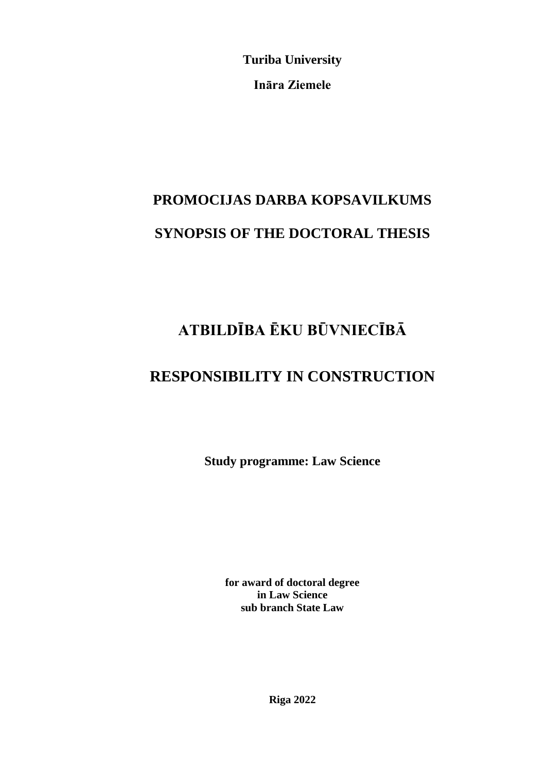**Turiba University**

**Ināra Ziemele**

# **PROMOCIJAS DARBA KOPSAVILKUMS SYNOPSIS OF THE DOCTORAL THESIS**

## **ATBILDĪBA ĒKU BŪVNIECĪBĀ**

## **RESPONSIBILITY IN CONSTRUCTION**

**Study programme: Law Science**

**for award of doctoral degree in Law Science sub branch State Law**

**Riga 2022**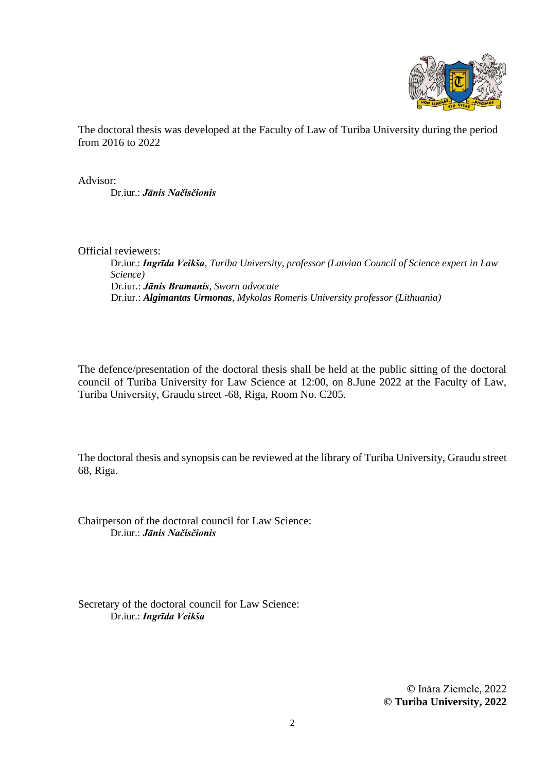

The doctoral thesis was developed at the Faculty of Law of Turiba University during the period from 2016 to 2022

Advisor: Dr.iur.: *Jānis Načisčionis*

Official reviewers:

Dr.iur.: *Ingrīda Veikša, Turiba University, professor (Latvian Council of Science expert in Law Science)* Dr.iur.: *Jānis Bramanis, Sworn advocate* Dr.iur.: *Algimantas Urmonas, Mykolas Romeris University professor (Lithuania)*

The defence/presentation of the doctoral thesis shall be held at the public sitting of the doctoral council of Turiba University for Law Science at 12:00, on 8.June 2022 at the Faculty of Law, Turiba University, Graudu street -68, Riga, Room No. C205.

The doctoral thesis and synopsis can be reviewed at the library of Turiba University, Graudu street 68, Riga.

Chairperson of the doctoral council for Law Science: Dr.iur.: *Jānis Načisčionis*

Secretary of the doctoral council for Law Science: Dr.iur.: *Ingrīda Veikša*

> **©** Ināra Ziemele, 2022 **© Turiba University, 2022**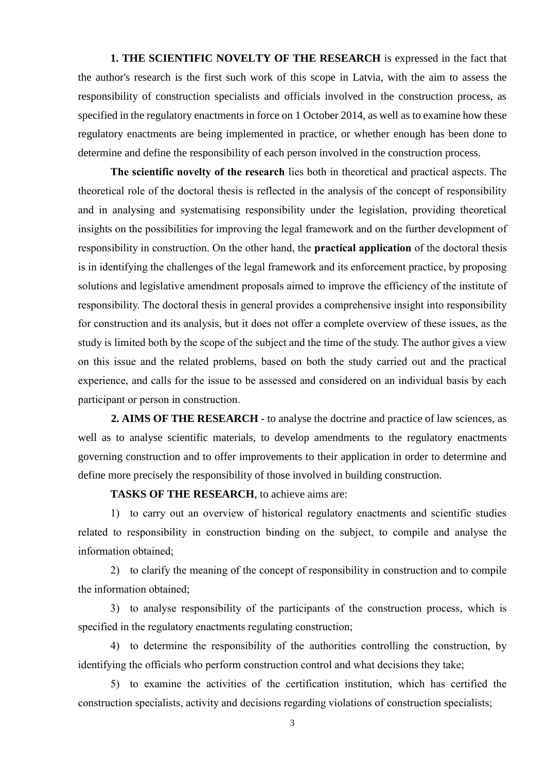**1. THE SCIENTIFIC NOVELTY OF THE RESEARCH** is expressed in the fact that the author's research is the first such work of this scope in Latvia, with the aim to assess the responsibility of construction specialists and officials involved in the construction process, as specified in the regulatory enactments in force on 1 October 2014, as well as to examine how these regulatory enactments are being implemented in practice, or whether enough has been done to determine and define the responsibility of each person involved in the construction process.

**The scientific novelty of the research** lies both in theoretical and practical aspects. The theoretical role of the doctoral thesis is reflected in the analysis of the concept of responsibility and in analysing and systematising responsibility under the legislation, providing theoretical insights on the possibilities for improving the legal framework and on the further development of responsibility in construction. On the other hand, the **practical application** of the doctoral thesis is in identifying the challenges of the legal framework and its enforcement practice, by proposing solutions and legislative amendment proposals aimed to improve the efficiency of the institute of responsibility. The doctoral thesis in general provides a comprehensive insight into responsibility for construction and its analysis, but it does not offer a complete overview of these issues, as the study is limited both by the scope of the subject and the time of the study. The author gives a view on this issue and the related problems, based on both the study carried out and the practical experience, and calls for the issue to be assessed and considered on an individual basis by each participant or person in construction.

**2. AIMS OF THE RESEARCH** - to analyse the doctrine and practice of law sciences, as well as to analyse scientific materials, to develop amendments to the regulatory enactments governing construction and to offer improvements to their application in order to determine and define more precisely the responsibility of those involved in building construction.

**TASKS OF THE RESEARCH**, to achieve aims are:

1) to carry out an overview of historical regulatory enactments and scientific studies related to responsibility in construction binding on the subject, to compile and analyse the information obtained;

2) to clarify the meaning of the concept of responsibility in construction and to compile the information obtained;

3) to analyse responsibility of the participants of the construction process, which is specified in the regulatory enactments regulating construction;

4) to determine the responsibility of the authorities controlling the construction, by identifying the officials who perform construction control and what decisions they take;

5) to examine the activities of the certification institution, which has certified the construction specialists, activity and decisions regarding violations of construction specialists;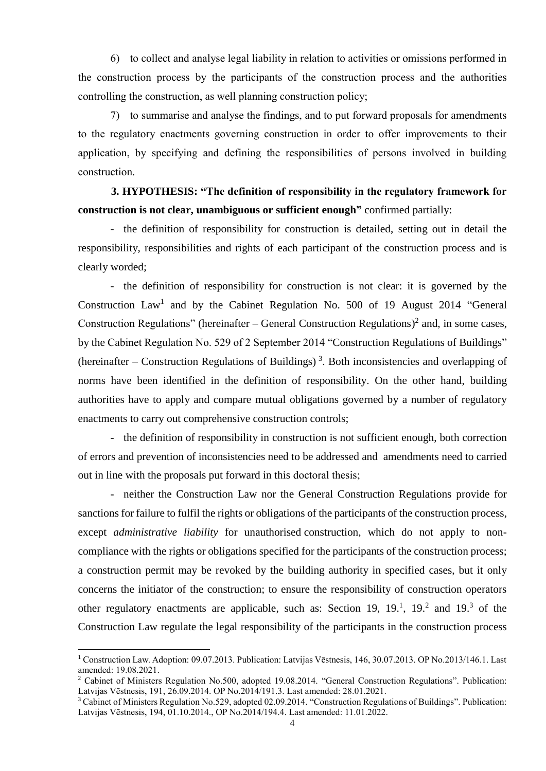6) to collect and analyse legal liability in relation to activities or omissions performed in the construction process by the participants of the construction process and the authorities controlling the construction, as well planning construction policy;

7) to summarise and analyse the findings, and to put forward proposals for amendments to the regulatory enactments governing construction in order to offer improvements to their application, by specifying and defining the responsibilities of persons involved in building construction.

## **3. HYPOTHESIS: "The definition of responsibility in the regulatory framework for construction is not clear, unambiguous or sufficient enough"** confirmed partially:

- the definition of responsibility for construction is detailed, setting out in detail the responsibility, responsibilities and rights of each participant of the construction process and is clearly worded;

- the definition of responsibility for construction is not clear: it is governed by the Construction  $Law<sup>1</sup>$  and by the Cabinet Regulation No. 500 of 19 August 2014 "General Construction Regulations" (hereinafter  $-$  General Construction Regulations)<sup>2</sup> and, in some cases, by the Cabinet Regulation No. 529 of 2 September 2014 "Construction Regulations of Buildings" (hereinafter – Construction Regulations of Buildings)<sup>3</sup>. Both inconsistencies and overlapping of norms have been identified in the definition of responsibility. On the other hand, building authorities have to apply and compare mutual obligations governed by a number of regulatory enactments to carry out comprehensive construction controls;

- the definition of responsibility in construction is not sufficient enough, both correction of errors and prevention of inconsistencies need to be addressed and amendments need to carried out in line with the proposals put forward in this doctoral thesis;

- neither the Construction Law nor the General Construction Regulations provide for sanctions for failure to fulfil the rights or obligations of the participants of the construction process, except *administrative liability* for unauthorised construction, which do not apply to noncompliance with the rights or obligations specified for the participants of the construction process; a construction permit may be revoked by the building authority in specified cases, but it only concerns the initiator of the construction; to ensure the responsibility of construction operators other regulatory enactments are applicable, such as: Section 19,  $19<sup>1</sup>$ ,  $19<sup>2</sup>$  and  $19<sup>3</sup>$  of the Construction Law regulate the legal responsibility of the participants in the construction process

 $\overline{a}$ 

<sup>&</sup>lt;sup>1</sup> Construction Law. Adoption: 09.07.2013. Publication: Latvijas Vēstnesis, 146, 30.07.2013. OP No.2013/146.1. Last amended: 19.08.2021.

<sup>&</sup>lt;sup>2</sup> Cabinet of Ministers Regulation No.500, adopted 19.08.2014. "General Construction Regulations". Publication: Latvijas Vēstnesis, 191, 26.09.2014. OP No.2014/191.3. Last amended: 28.01.2021.

<sup>&</sup>lt;sup>3</sup> Cabinet of Ministers Regulation No.529, adopted 02.09.2014. "Construction Regulations of Buildings". Publication: Latvijas Vēstnesis, 194, 01.10.2014., OP No.2014/194.4. Last amended: 11.01.2022.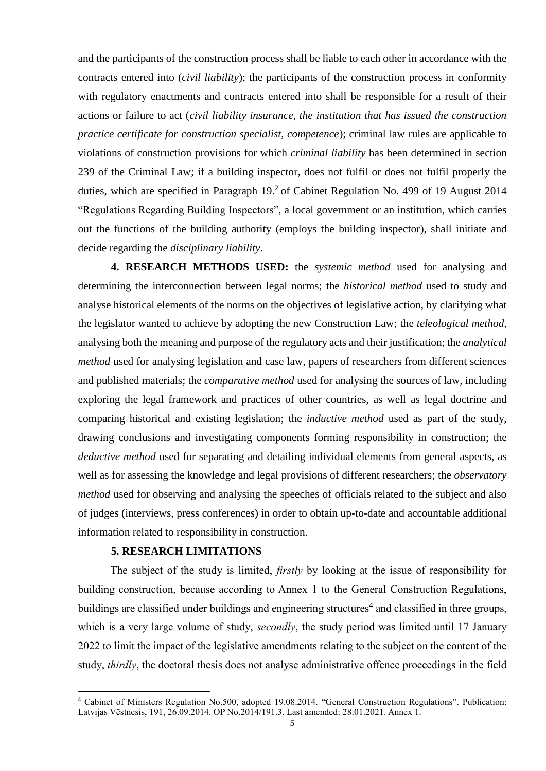and the participants of the construction process shall be liable to each other in accordance with the contracts entered into (*civil liability*); the participants of the construction process in conformity with regulatory enactments and contracts entered into shall be responsible for a result of their actions or failure to act (*civil liability insurance, the institution that has issued the construction practice certificate for construction specialist, competence*); criminal law rules are applicable to violations of construction provisions for which *criminal liability* has been determined in section 239 of the Criminal Law; if a building inspector, does not fulfil or does not fulfil properly the duties, which are specified in Paragraph  $19<sup>2</sup>$  of Cabinet Regulation No. 499 of 19 August 2014 "Regulations Regarding Building Inspectors", a local government or an institution, which carries out the functions of the building authority (employs the building inspector), shall initiate and decide regarding the *disciplinary liability*.

**4. RESEARCH METHODS USED:** the *systemic method* used for analysing and determining the interconnection between legal norms; the *historical method* used to study and analyse historical elements of the norms on the objectives of legislative action, by clarifying what the legislator wanted to achieve by adopting the new Construction Law; the *teleological method,*  analysing both the meaning and purpose of the regulatory acts and their justification; the *analytical method* used for analysing legislation and case law, papers of researchers from different sciences and published materials; the *comparative method* used for analysing the sources of law, including exploring the legal framework and practices of other countries, as well as legal doctrine and comparing historical and existing legislation; the *inductive method* used as part of the study, drawing conclusions and investigating components forming responsibility in construction; the *deductive method* used for separating and detailing individual elements from general aspects, as well as for assessing the knowledge and legal provisions of different researchers; the *observatory method* used for observing and analysing the speeches of officials related to the subject and also of judges (interviews, press conferences) in order to obtain up-to-date and accountable additional information related to responsibility in construction.

#### **5. RESEARCH LIMITATIONS**

1

The subject of the study is limited, *firstly* by looking at the issue of responsibility for building construction, because according to Annex 1 to the General Construction Regulations, buildings are classified under buildings and engineering structures<sup>4</sup> and classified in three groups, which is a very large volume of study, *secondly*, the study period was limited until 17 January 2022 to limit the impact of the legislative amendments relating to the subject on the content of the study, *thirdly*, the doctoral thesis does not analyse administrative offence proceedings in the field

<sup>4</sup> Cabinet of Ministers Regulation No.500, adopted 19.08.2014. "General Construction Regulations". Publication: Latvijas Vēstnesis, 191, 26.09.2014. OP No.2014/191.3. Last amended: 28.01.2021. Annex 1.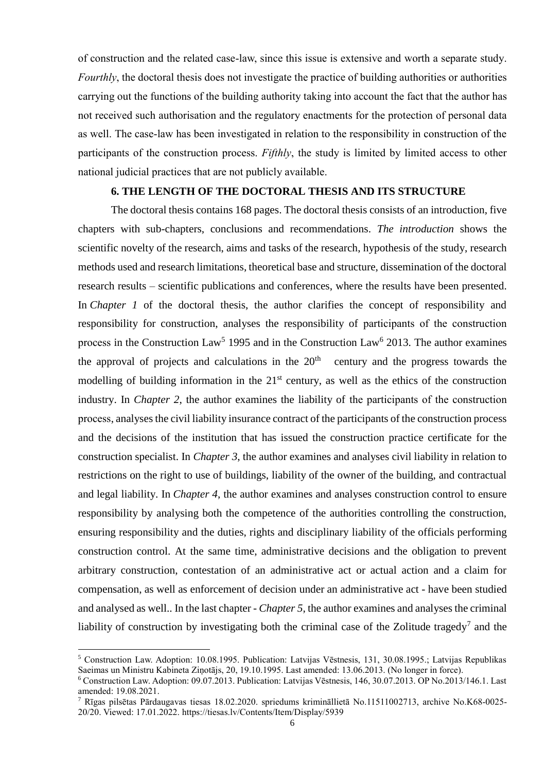of construction and the related case-law, since this issue is extensive and worth a separate study. *Fourthly*, the doctoral thesis does not investigate the practice of building authorities or authorities carrying out the functions of the building authority taking into account the fact that the author has not received such authorisation and the regulatory enactments for the protection of personal data as well. The case-law has been investigated in relation to the responsibility in construction of the participants of the construction process. *Fifthly*, the study is limited by limited access to other national judicial practices that are not publicly available.

#### **6. THE LENGTH OF THE DOCTORAL THESIS AND ITS STRUCTURE**

The doctoral thesis contains 168 pages. The doctoral thesis consists of an introduction, five chapters with sub-chapters, conclusions and recommendations. *The introduction* shows the scientific novelty of the research, aims and tasks of the research, hypothesis of the study, research methods used and research limitations, theoretical base and structure, dissemination of the doctoral research results – scientific publications and conferences, where the results have been presented. In *Chapter 1* of the doctoral thesis, the author clarifies the concept of responsibility and responsibility for construction, analyses the responsibility of participants of the construction process in the Construction  $Law<sup>5</sup>$  1995 and in the Construction Law<sup>6</sup> 2013. The author examines the approval of projects and calculations in the  $20<sup>th</sup>$  century and the progress towards the modelling of building information in the  $21<sup>st</sup>$  century, as well as the ethics of the construction industry. In *Chapter 2*, the author examines the liability of the participants of the construction process, analyses the civil liability insurance contract of the participants of the construction process and the decisions of the institution that has issued the construction practice certificate for the construction specialist. In *Chapter 3*, the author examines and analyses civil liability in relation to restrictions on the right to use of buildings, liability of the owner of the building, and contractual and legal liability. In *Chapter 4*, the author examines and analyses construction control to ensure responsibility by analysing both the competence of the authorities controlling the construction, ensuring responsibility and the duties, rights and disciplinary liability of the officials performing construction control. At the same time, administrative decisions and the obligation to prevent arbitrary construction, contestation of an administrative act or actual action and a claim for compensation, as well as enforcement of decision under an administrative act - have been studied and analysed as well.. In the last chapter - *Chapter 5*, the author examines and analyses the criminal liability of construction by investigating both the criminal case of the Zolitude tragedy<sup>7</sup> and the

 $\overline{a}$ 

<sup>5</sup> Construction Law. Adoption: 10.08.1995. Publication: Latvijas Vēstnesis, 131, 30.08.1995.; Latvijas Republikas Saeimas un Ministru Kabineta Ziņotājs, 20, 19.10.1995. Last amended: 13.06.2013. (No longer in force).

<sup>6</sup> Construction Law. Adoption: 09.07.2013. Publication: Latvijas Vēstnesis, 146, 30.07.2013. OP No.2013/146.1. Last amended: 19.08.2021.

<sup>7</sup> Rīgas pilsētas Pārdaugavas tiesas 18.02.2020. spriedums krimināllietā No.11511002713, archive No.K68-0025- 20/20. Viewed: 17.01.2022.<https://tiesas.lv/Contents/Item/Display/5939>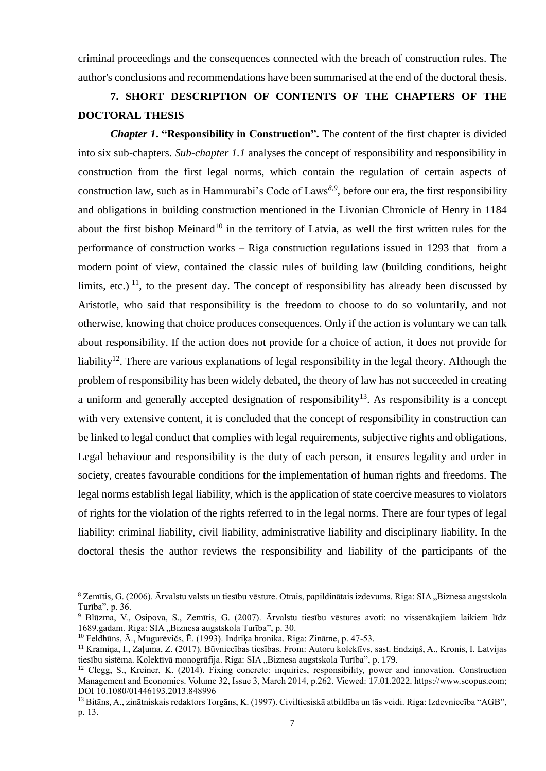criminal proceedings and the consequences connected with the breach of construction rules. The author's conclusions and recommendations have been summarised at the end of the doctoral thesis.

## **7. SHORT DESCRIPTION OF CONTENTS OF THE CHAPTERS OF THE DOCTORAL THESIS**

*Chapter 1***. "Responsibility in Construction".** The content of the first chapter is divided into six sub-chapters. *Sub-chapter 1.1* analyses the concept of responsibility and responsibility in construction from the first legal norms, which contain the regulation of certain aspects of construction law, such as in Hammurabi's Code of Laws*<sup>8</sup>*,*<sup>9</sup>* , before our era, the first responsibility and obligations in building construction mentioned in the Livonian Chronicle of Henry in 1184 about the first bishop Meinard<sup>10</sup> in the territory of Latvia, as well the first written rules for the performance of construction works – Riga construction regulations issued in 1293 that from a modern point of view, contained the classic rules of building law (building conditions, height limits, etc.)<sup>11</sup>, to the present day. The concept of responsibility has already been discussed by Aristotle, who said that responsibility is the freedom to choose to do so voluntarily, and not otherwise, knowing that choice produces consequences. Only if the action is voluntary we can talk about responsibility. If the action does not provide for a choice of action, it does not provide for liability<sup>12</sup>. There are various explanations of legal responsibility in the legal theory. Although the problem of responsibility has been widely debated, the theory of law has not succeeded in creating a uniform and generally accepted designation of responsibility<sup>13</sup>. As responsibility is a concept with very extensive content, it is concluded that the concept of responsibility in construction can be linked to legal conduct that complies with legal requirements, subjective rights and obligations. Legal behaviour and responsibility is the duty of each person, it ensures legality and order in society, creates favourable conditions for the implementation of human rights and freedoms. The legal norms establish legal liability, which is the application of state coercive measures to violators of rights for the violation of the rights referred to in the legal norms. There are four types of legal liability: criminal liability, civil liability, administrative liability and disciplinary liability. In the doctoral thesis the author reviews the responsibility and liability of the participants of the

1

<sup>&</sup>lt;sup>8</sup> Zemītis, G. (2006). Ārvalstu valsts un tiesību vēsture. Otrais, papildinātais izdevums. Riga: SIA "Biznesa augstskola Turība", p. 36.

<sup>9</sup> Blūzma, V., Osipova, S., Zemītis, G. (2007). Ārvalstu tiesību vēstures avoti: no vissenākajiem laikiem līdz 1689.gadam. Riga: SIA "Biznesa augstskola Turība", p. 30.

<sup>10</sup> Feldhūns, Ā., Mugurēvičs, Ē. (1993). Indriķa hronika. Riga: Zinātne, p. 47-53.

<sup>11</sup> Kramiņa, I., Zaļuma, Z. (2017). Būvniecības tiesības. From: Autoru kolektīvs, sast. Endziņš, A., Kronis, I. Latvijas tiesību sistēma. Kolektīvā monogrāfija. Riga: SIA "Biznesa augstskola Turība", p. 179.

<sup>&</sup>lt;sup>12</sup> Clegg, S., Kreiner, K. (2014). Fixing concrete: inquiries, responsibility, power and innovation. Construction Management and Economics. Volume 32, Issue 3, March 2014, p.262. Viewed: 17.01.2022[. https://www.scopus.com;](https://www.scopus.com/) DOI 10.1080/01446193.2013.848996

<sup>13</sup> Bitāns, A., zinātniskais redaktors Torgāns, K. (1997). Civiltiesiskā atbildība un tās veidi. Riga: Izdevniecība "AGB", p. 13.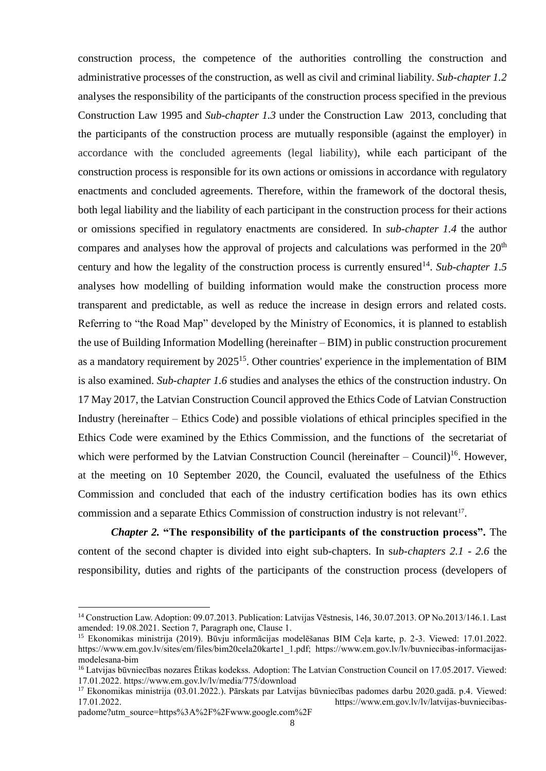construction process, the competence of the authorities controlling the construction and administrative processes of the construction, as well as civil and criminal liability. *Sub-chapter 1.2* analyses the responsibility of the participants of the construction process specified in the previous Construction Law 1995 and *Sub-chapter 1.3* under the Construction Law 2013, concluding that the participants of the construction process are mutually responsible (against the employer) in accordance with the concluded agreements (legal liability), while each participant of the construction process is responsible for its own actions or omissions in accordance with regulatory enactments and concluded agreements. Therefore, within the framework of the doctoral thesis, both legal liability and the liability of each participant in the construction process for their actions or omissions specified in regulatory enactments are considered. In *sub-chapter 1.4* the author compares and analyses how the approval of projects and calculations was performed in the  $20<sup>th</sup>$ century and how the legality of the construction process is currently ensured<sup>14</sup>. Sub-chapter 1.5 analyses how modelling of building information would make the construction process more transparent and predictable, as well as reduce the increase in design errors and related costs. Referring to "the Road Map" developed by the Ministry of Economics, it is planned to establish the use of Building Information Modelling (hereinafter – BIM) in public construction procurement as a mandatory requirement by 2025<sup>15</sup>. Other countries' experience in the implementation of BIM is also examined. *Sub-chapter 1.6* studies and analyses the ethics of the construction industry. On 17 May 2017, the Latvian Construction Council approved the Ethics Code of Latvian Construction Industry (hereinafter – Ethics Code) and possible violations of ethical principles specified in the Ethics Code were examined by the Ethics Commission, and the functions of the secretariat of which were performed by the Latvian Construction Council (hereinafter  $-$  Council)<sup>16</sup>. However, at the meeting on 10 September 2020, the Council, evaluated the usefulness of the Ethics Commission and concluded that each of the industry certification bodies has its own ethics commission and a separate Ethics Commission of construction industry is not relevant<sup>17</sup>.

*Chapter 2.* **"The responsibility of the participants of the construction process".** The content of the second chapter is divided into eight sub-chapters. In s*ub-chapters 2.1 - 2.6* the responsibility, duties and rights of the participants of the construction process (developers of

padome?utm\_source=https%3A%2F%2Fwww.google.com%2F

**.** 

<sup>&</sup>lt;sup>14</sup> Construction Law. Adoption: 09.07.2013. Publication: Latvijas Vēstnesis, 146, 30.07.2013. OP No.2013/146.1. Last amended: 19.08.2021. Section 7, Paragraph one, Clause 1.

<sup>15</sup> Ekonomikas ministrija (2019). Būvju informācijas modelēšanas BIM Ceļa karte, p. 2-3. Viewed: 17.01.2022. https://www.em.gov.lv/sites/em/files/bim20cela20karte1\_1.pdf; https://www.em.gov.lv/lv/buvniecibas-informacijasmodelesana-bim

<sup>&</sup>lt;sup>16</sup> Latvijas būvniecības nozares Ētikas kodekss. Adoption: The Latvian Construction Council on 17.05.2017. Viewed: 17.01.2022. https://www.em.gov.lv/lv/media/775/download

<sup>&</sup>lt;sup>17</sup> Ekonomikas ministrija (03.01.2022.). Pārskats par Latvijas būvniecības padomes darbu 2020.gadā. p.4. Viewed:<br>17.01.2022. https://www.em.gov.lv/lv/latviias-buvniecibashttps://www.em.gov.lv/lv/latvijas-buvniecibas-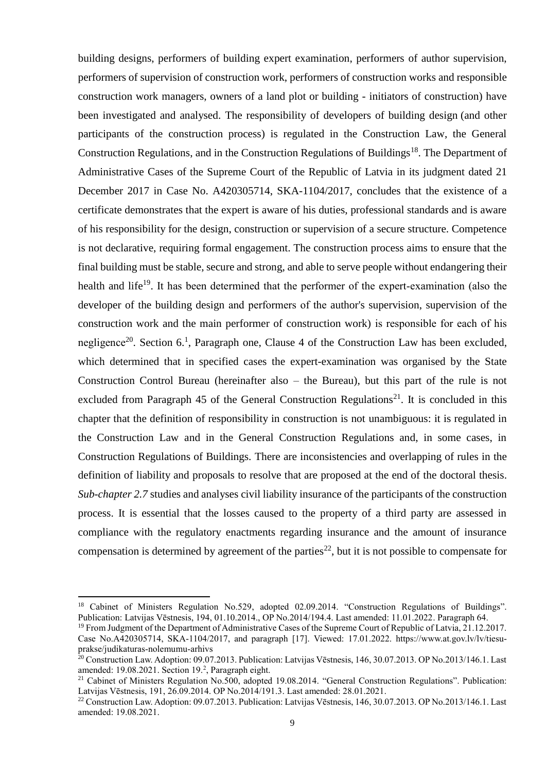building designs, performers of building expert examination, performers of author supervision, performers of supervision of construction work, performers of construction works and responsible construction work managers, owners of a land plot or building - initiators of construction) have been investigated and analysed. The responsibility of developers of building design (and other participants of the construction process) is regulated in the Construction Law, the General Construction Regulations, and in the Construction Regulations of Buildings<sup>18</sup>. The Department of Administrative Cases of the Supreme Court of the Republic of Latvia in its judgment dated 21 December 2017 in Case No. A420305714, SKA-1104/2017, concludes that the existence of a certificate demonstrates that the expert is aware of his duties, professional standards and is aware of his responsibility for the design, construction or supervision of a secure structure. Competence is not declarative, requiring formal engagement. The construction process aims to ensure that the final building must be stable, secure and strong, and able to serve people without endangering their health and life<sup>19</sup>. It has been determined that the performer of the expert-examination (also the developer of the building design and performers of the author's supervision, supervision of the construction work and the main performer of construction work) is responsible for each of his negligence<sup>20</sup>. Section 6.<sup>1</sup>, Paragraph one, Clause 4 of the Construction Law has been excluded, which determined that in specified cases the expert-examination was organised by the State Construction Control Bureau (hereinafter also – the Bureau), but this part of the rule is not excluded from Paragraph 45 of the General Construction Regulations<sup>21</sup>. It is concluded in this chapter that the definition of responsibility in construction is not unambiguous: it is regulated in the Construction Law and in the General Construction Regulations and, in some cases, in Construction Regulations of Buildings. There are inconsistencies and overlapping of rules in the definition of liability and proposals to resolve that are proposed at the end of the doctoral thesis. *Sub-chapter 2.7* studies and analyses civil liability insurance of the participants of the construction process. It is essential that the losses caused to the property of a third party are assessed in compliance with the regulatory enactments regarding insurance and the amount of insurance compensation is determined by agreement of the parties<sup>22</sup>, but it is not possible to compensate for

1

<sup>&</sup>lt;sup>18</sup> Cabinet of Ministers Regulation No.529, adopted 02.09.2014. "Construction Regulations of Buildings". Publication: Latvijas Vēstnesis, 194, 01.10.2014., OP No.2014/194.4. Last amended: 11.01.2022. Paragraph 64.

<sup>&</sup>lt;sup>19</sup> From Judgment of the Department of Administrative Cases of the Supreme Court of Republic of Latvia, 21.12.2017. Case No.A420305714, SKA-1104/2017, and paragraph [17]. Viewed: 17.01.2022. https://www.at.gov.lv/lv/tiesuprakse/judikaturas-nolemumu-arhivs

 $^{20}$  Construction Law. Adoption: 09.07.2013. Publication: Latvijas Vēstnesis, 146, 30.07.2013. OP No.2013/146.1. Last amended: 19.08.2021. Section 19.<sup>2</sup>, Paragraph eight.

<sup>&</sup>lt;sup>21</sup> Cabinet of Ministers Regulation No.500, adopted 19.08.2014. "General Construction Regulations". Publication: Latvijas Vēstnesis, 191, 26.09.2014. OP No.2014/191.3. Last amended: 28.01.2021.

<sup>22</sup> Construction Law. Adoption: 09.07.2013. Publication: Latvijas Vēstnesis, 146, 30.07.2013. OP No.2013/146.1. Last amended: 19.08.2021.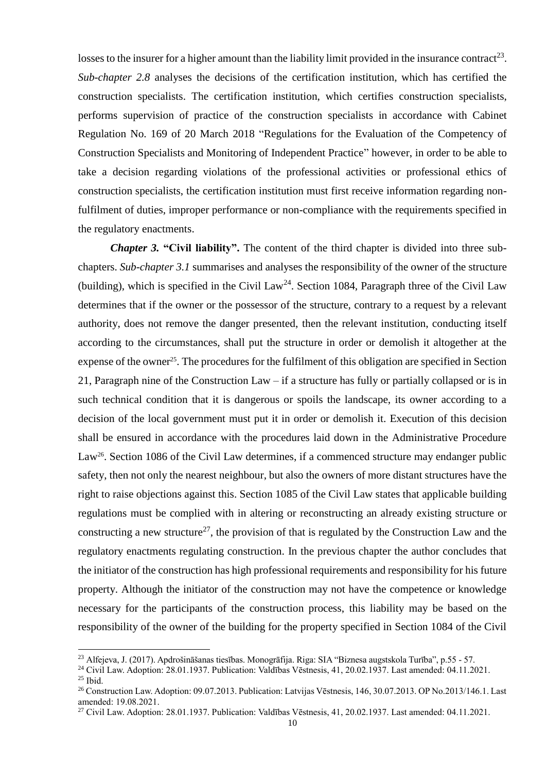losses to the insurer for a higher amount than the liability limit provided in the insurance contract<sup>23</sup>. *Sub-chapter 2.8* analyses the decisions of the certification institution, which has certified the construction specialists. The certification institution, which certifies construction specialists, performs supervision of practice of the construction specialists in accordance with Cabinet Regulation No. 169 of 20 March 2018 "Regulations for the Evaluation of the Competency of Construction Specialists and Monitoring of Independent Practice" however, in order to be able to take a decision regarding violations of the professional activities or professional ethics of construction specialists, the certification institution must first receive information regarding nonfulfilment of duties, improper performance or non-compliance with the requirements specified in the regulatory enactments.

*Chapter 3.* **"Civil liability".** The content of the third chapter is divided into three subchapters. *Sub-chapter 3.1* summarises and analyses the responsibility of the owner of the structure (building), which is specified in the Civil Law<sup>24</sup>. Section 1084, Paragraph three of the Civil Law determines that if the owner or the possessor of the structure, contrary to a request by a relevant authority, does not remove the danger presented, then the relevant institution, conducting itself according to the circumstances, shall put the structure in order or demolish it altogether at the expense of the owner<sup>25</sup>. The procedures for the fulfilment of this obligation are specified in Section 21, Paragraph nine of the Construction Law – if a structure has fully or partially collapsed or is in such technical condition that it is dangerous or spoils the landscape, its owner according to a decision of the local government must put it in order or demolish it. Execution of this decision shall be ensured in accordance with the procedures laid down in the Administrative Procedure Law<sup>26</sup>. Section 1086 of the Civil Law determines, if a commenced structure may endanger public safety, then not only the nearest neighbour, but also the owners of more distant structures have the right to raise objections against this. Section 1085 of the Civil Law states that applicable building regulations must be complied with in altering or reconstructing an already existing structure or constructing a new structure<sup>27</sup>, the provision of that is regulated by the Construction Law and the regulatory enactments regulating construction. In the previous chapter the author concludes that the initiator of the construction has high professional requirements and responsibility for his future property. Although the initiator of the construction may not have the competence or knowledge necessary for the participants of the construction process, this liability may be based on the responsibility of the owner of the building for the property specified in Section 1084 of the Civil

 $\overline{a}$ 

<sup>23</sup> Alfejeva, J. (2017). Apdrošināšanas tiesības. Monogrāfija. Riga: SIA "Biznesa augstskola Turība", p.55 - 57.

<sup>24</sup> Civil Law. Adoption: 28.01.1937. Publication: Valdības Vēstnesis, 41, 20.02.1937. Last amended: 04.11.2021.

<sup>25</sup> Ibid.

<sup>26</sup> Construction Law. Adoption: 09.07.2013. Publication: Latvijas Vēstnesis, 146, 30.07.2013. OP No.2013/146.1. Last amended: 19.08.2021.

<sup>&</sup>lt;sup>27</sup> Civil Law. Adoption: 28.01.1937. Publication: Valdības Vēstnesis, 41, 20.02.1937. Last amended: 04.11.2021.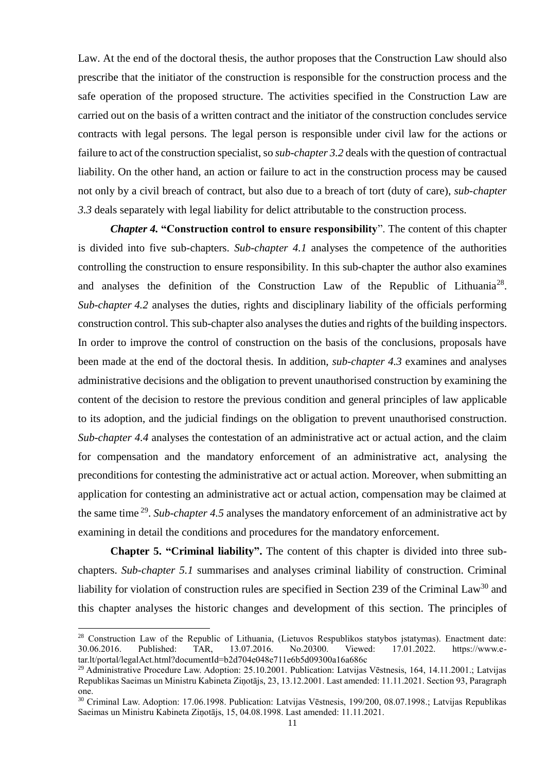Law. At the end of the doctoral thesis, the author proposes that the Construction Law should also prescribe that the initiator of the construction is responsible for the construction process and the safe operation of the proposed structure. The activities specified in the Construction Law are carried out on the basis of a written contract and the initiator of the construction concludes service contracts with legal persons. The legal person is responsible under civil law for the actions or failure to act of the construction specialist, so *sub-chapter 3.2* deals with the question of contractual liability. On the other hand, an action or failure to act in the construction process may be caused not only by a civil breach of contract, but also due to a breach of tort (duty of care), *sub-chapter 3.3* deals separately with legal liability for delict attributable to the construction process.

*Chapter 4.* **"Construction control to ensure responsibility**". The content of this chapter is divided into five sub-chapters. *Sub-chapter 4.1* analyses the competence of the authorities controlling the construction to ensure responsibility. In this sub-chapter the author also examines and analyses the definition of the Construction Law of the Republic of Lithuania<sup>28</sup>. *Sub-chapter 4.2* analyses the duties, rights and disciplinary liability of the officials performing construction control. This sub-chapter also analyses the duties and rights of the building inspectors. In order to improve the control of construction on the basis of the conclusions, proposals have been made at the end of the doctoral thesis. In addition, *sub-chapter 4.3* examines and analyses administrative decisions and the obligation to prevent unauthorised construction by examining the content of the decision to restore the previous condition and general principles of law applicable to its adoption, and the judicial findings on the obligation to prevent unauthorised construction. *Sub-chapter 4.4* analyses the contestation of an administrative act or actual action, and the claim for compensation and the mandatory enforcement of an administrative act, analysing the preconditions for contesting the administrative act or actual action. Moreover, when submitting an application for contesting an administrative act or actual action, compensation may be claimed at the same time <sup>29</sup> . *Sub-chapter 4.5* analyses the mandatory enforcement of an administrative act by examining in detail the conditions and procedures for the mandatory enforcement.

**Chapter 5. "Criminal liability".** The content of this chapter is divided into three subchapters. *Sub-chapter 5.1* summarises and analyses criminal liability of construction. Criminal liability for violation of construction rules are specified in Section 239 of the Criminal Law<sup>30</sup> and this chapter analyses the historic changes and development of this section. The principles of

**.** 

<sup>&</sup>lt;sup>28</sup> Construction Law of the Republic of Lithuania, (Lietuvos Respublikos statybos įstatymas). Enactment date:<br>30.06.2016. Published: TAR. 13.07.2016. No.20300. Viewed: 17.01.2022. https://www.e-30.06.2016. Published: TAR, 13.07.2016. No.20300. Viewed: 17.01.2022. https://www.etar.lt/portal/legalAct.html?documentId=b2d704e048e711e6b5d09300a16a686c

<sup>&</sup>lt;sup>29</sup> Administrative Procedure Law. Adoption: 25.10.2001. Publication: Latvijas Vēstnesis, 164, 14.11.2001.; Latvijas Republikas Saeimas un Ministru Kabineta Ziņotājs, 23, 13.12.2001. Last amended: 11.11.2021. Section 93, Paragraph one.

<sup>30</sup> Criminal Law. Adoption: 17.06.1998. Publication: Latvijas Vēstnesis, 199/200, 08.07.1998.; Latvijas Republikas Saeimas un Ministru Kabineta Ziņotājs, 15, 04.08.1998. Last amended: 11.11.2021.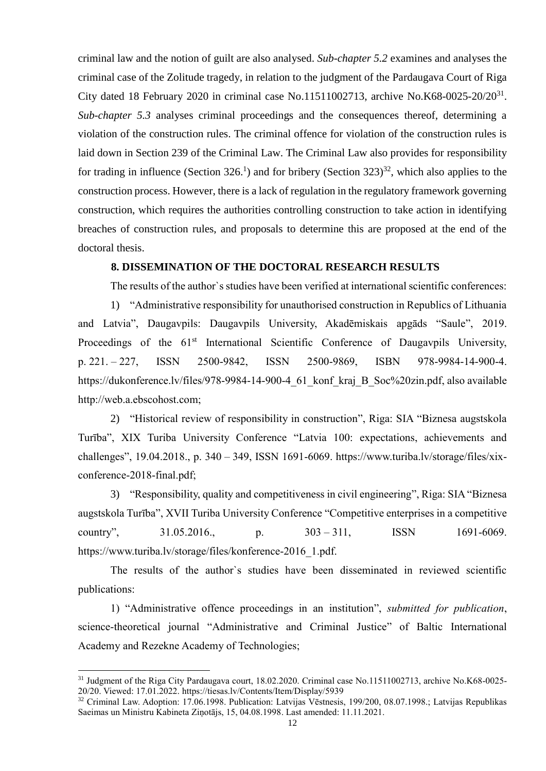criminal law and the notion of guilt are also analysed. *Sub-chapter 5.2* examines and analyses the criminal case of the Zolitude tragedy, in relation to the judgment of the Pardaugava Court of Riga City dated 18 February 2020 in criminal case No.11511002713, archive No.K68-0025-20/20<sup>31</sup>. *Sub-chapter 5.3* analyses criminal proceedings and the consequences thereof, determining a violation of the construction rules. The criminal offence for violation of the construction rules is laid down in Section 239 of the Criminal Law. The Criminal Law also provides for responsibility for trading in influence (Section 326.<sup>1</sup>) and for bribery (Section 323)<sup>32</sup>, which also applies to the construction process. However, there is a lack of regulation in the regulatory framework governing construction, which requires the authorities controlling construction to take action in identifying breaches of construction rules, and proposals to determine this are proposed at the end of the doctoral thesis.

## **8. DISSEMINATION OF THE DOCTORAL RESEARCH RESULTS**

The results of the author`s studies have been verified at international scientific conferences:

1) "Administrative responsibility for unauthorised construction in Republics of Lithuania and Latvia", Daugavpils: Daugavpils University, Akadēmiskais apgāds "Saule", 2019. Proceedings of the 61<sup>st</sup> International Scientific Conference of Daugavpils University, p. 221. – 227, ISSN 2500-9842, ISSN 2500-9869, ISBN 978-9984-14-900-4. [https://dukonference.lv/files/978-9984-14-900-4\\_61\\_konf\\_kraj\\_B\\_Soc%20zin.pdf,](https://dukonference.lv/files/978-9984-14-900-4_61_konf_kraj_B_Soc%20zin.pdf) also available http://web.a.ebscohost.com;

2) "Historical review of responsibility in construction", Riga: SIA "Biznesa augstskola Turība", XIX Turiba University Conference "Latvia 100: expectations, achievements and challenges", 19.04.2018., p. 340 – 349, ISSN 1691-6069. https://www.turiba.lv/storage/files/xixconference-2018-final.pdf;

3) "Responsibility, quality and competitiveness in civil engineering", Riga: SIA "Biznesa augstskola Turība", XVII Turiba University Conference "Competitive enterprises in a competitive country", 31.05.2016., p. 303 – 311, ISSN 1691-6069. [https://www.turiba.lv/storage/files/konference-2016\\_1.pdf.](https://www.turiba.lv/storage/files/konference-2016_1.pdf)

The results of the author`s studies have been disseminated in reviewed scientific publications:

1) "Administrative offence proceedings in an institution", *submitted for publication*, science-theoretical journal "Administrative and Criminal Justice" of Baltic International Academy and Rezekne Academy of Technologies;

**.** 

<sup>&</sup>lt;sup>31</sup> Judgment of the Riga City Pardaugava court, 18.02.2020. Criminal case No.11511002713, archive No.K68-0025-20/20. Viewed: 17.01.2022.<https://tiesas.lv/Contents/Item/Display/5939>

<sup>32</sup> Criminal Law. Adoption: 17.06.1998. Publication: Latvijas Vēstnesis, 199/200, 08.07.1998.; Latvijas Republikas Saeimas un Ministru Kabineta Ziņotājs, 15, 04.08.1998. Last amended: 11.11.2021.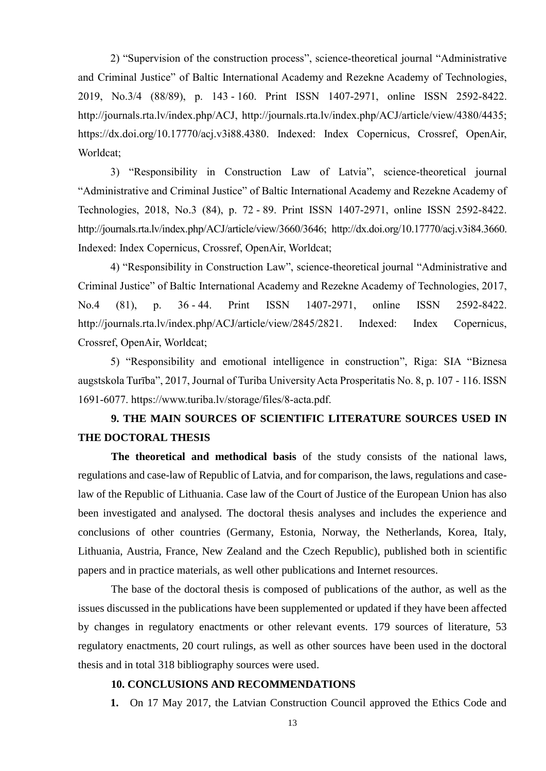2) "Supervision of the construction process", science-theoretical journal "Administrative and Criminal Justice" of Baltic International Academy and Rezekne Academy of Technologies, 2019, No.3/4 (88/89), p. 143 - 160. Print ISSN 1407-2971, online ISSN 2592-8422. [http://journals.rta.lv/index.php/ACJ,](http://journals.rta.lv/index.php/ACJ) [http://journals.rta.lv/index.php/ACJ/article/view/4380/4435;](http://journals.rta.lv/index.php/ACJ/article/view/4380/4435) https://dx.doi.org/10.17770/acj.v3i88.4380. Indexed: Index Copernicus, Crossref, OpenAir, Worldcat;

3) "Responsibility in Construction Law of Latvia", science-theoretical journal "Administrative and Criminal Justice" of Baltic International Academy and Rezekne Academy of Technologies, 2018, No.3 (84), p. 72 - 89. Print ISSN 1407-2971, online ISSN 2592-8422. [http://journals.rta.lv/index.php/ACJ/article/view/3660/3646;](http://journals.rta.lv/index.php/ACJ/article/view/3660/3646) http://dx.doi.org/10.17770/acj.v3i84.3660. Indexed: Index Copernicus, Crossref, OpenAir, Worldcat;

4) "Responsibility in Construction Law", science-theoretical journal "Administrative and Criminal Justice" of Baltic International Academy and Rezekne Academy of Technologies, 2017, No.4 (81), p. 36 - 44. Print ISSN 1407-2971, online ISSN 2592-8422. [http://journals.rta.lv/index.php/ACJ/article/view/2845/2821.](http://journals.rta.lv/index.php/ACJ/article/view/2845/2821) Indexed: Index Copernicus, Crossref, OpenAir, Worldcat;

5) "Responsibility and emotional intelligence in construction", Riga: SIA "Biznesa augstskola Turība", 2017, Journal of Turiba University Acta Prosperitatis No. 8, p. 107 - 116. ISSN 1691-6077. [https://www.turiba.lv/storage/files/8-acta.pdf.](https://www.turiba.lv/storage/files/8-acta.pdf)

## **9. THE MAIN SOURCES OF SCIENTIFIC LITERATURE SOURCES USED IN THE DOCTORAL THESIS**

**The theoretical and methodical basis** of the study consists of the national laws, regulations and case-law of Republic of Latvia, and for comparison, the laws, regulations and caselaw of the Republic of Lithuania. Case law of the Court of Justice of the European Union has also been investigated and analysed. The doctoral thesis analyses and includes the experience and conclusions of other countries (Germany, Estonia, Norway, the Netherlands, Korea, Italy, Lithuania, Austria, France, New Zealand and the Czech Republic), published both in scientific papers and in practice materials, as well other publications and Internet resources.

The base of the doctoral thesis is composed of publications of the author, as well as the issues discussed in the publications have been supplemented or updated if they have been affected by changes in regulatory enactments or other relevant events. 179 sources of literature, 53 regulatory enactments, 20 court rulings, as well as other sources have been used in the doctoral thesis and in total 318 bibliography sources were used.

#### **10. CONCLUSIONS AND RECOMMENDATIONS**

**1.** On 17 May 2017, the Latvian Construction Council approved the Ethics Code and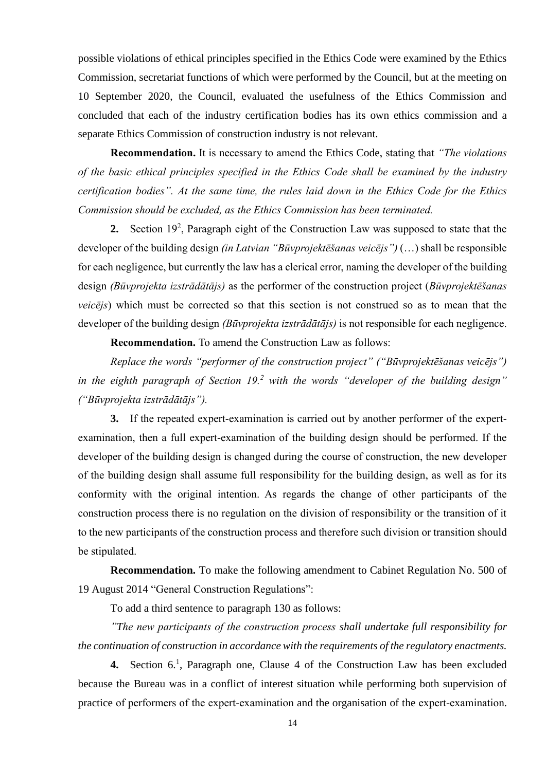possible violations of ethical principles specified in the Ethics Code were examined by the Ethics Commission, secretariat functions of which were performed by the Council, but at the meeting on 10 September 2020, the Council, evaluated the usefulness of the Ethics Commission and concluded that each of the industry certification bodies has its own ethics commission and a separate Ethics Commission of construction industry is not relevant.

**Recommendation.** It is necessary to amend the Ethics Code, stating that *"The violations of the basic ethical principles specified in the Ethics Code shall be examined by the industry certification bodies". At the same time, the rules laid down in the Ethics Code for the Ethics Commission should be excluded, as the Ethics Commission has been terminated.*

**2.** Section  $19^2$ , Paragraph eight of the Construction Law was supposed to state that the developer of the building design *(in Latvian "Būvprojektēšanas veicējs")* (…) shall be responsible for each negligence, but currently the law has a clerical error, naming the developer of the building design *(Būvprojekta izstrādātājs)* as the performer of the construction project (*Būvprojektēšanas veicējs*) which must be corrected so that this section is not construed so as to mean that the developer of the building design *(Būvprojekta izstrādātājs)* is not responsible for each negligence.

**Recommendation.** To amend the Construction Law as follows:

*Replace the words "performer of the construction project" ("Būvprojektēšanas veicējs") in the eighth paragraph of Section 19.<sup>2</sup> with the words "developer of the building design" ("Būvprojekta izstrādātājs").*

**3.** If the repeated expert-examination is carried out by another performer of the expertexamination, then a full expert-examination of the building design should be performed. If the developer of the building design is changed during the course of construction, the new developer of the building design shall assume full responsibility for the building design, as well as for its conformity with the original intention. As regards the change of other participants of the construction process there is no regulation on the division of responsibility or the transition of it to the new participants of the construction process and therefore such division or transition should be stipulated.

**Recommendation.** To make the following amendment to Cabinet Regulation No. 500 of 19 August 2014 "General Construction Regulations":

To add a third sentence to paragraph 130 as follows:

*"The new participants of the construction process shall undertake full responsibility for the continuation of construction in accordance with the requirements of the regulatory enactments.*

**4.** Section  $6<sup>1</sup>$ , Paragraph one, Clause 4 of the Construction Law has been excluded because the Bureau was in a conflict of interest situation while performing both supervision of practice of performers of the expert-examination and the organisation of the expert-examination.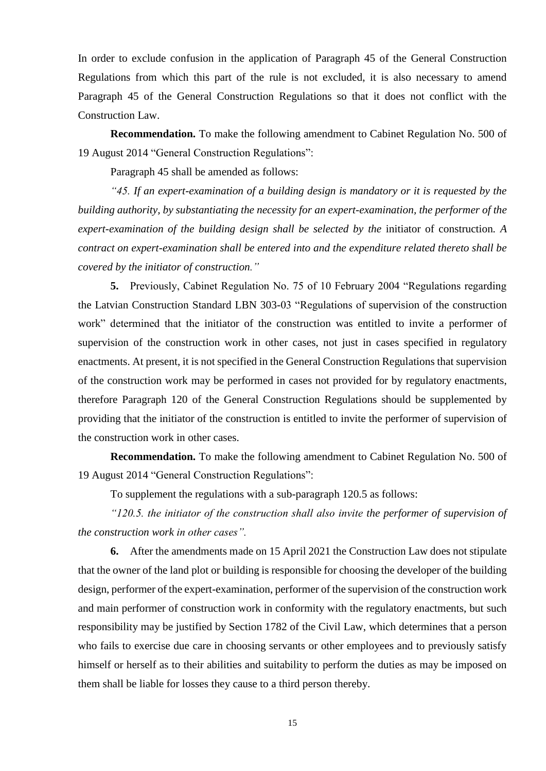In order to exclude confusion in the application of Paragraph 45 of the General Construction Regulations from which this part of the rule is not excluded, it is also necessary to amend Paragraph 45 of the General Construction Regulations so that it does not conflict with the Construction Law.

**Recommendation.** To make the following amendment to Cabinet Regulation No. 500 of 19 August 2014 "General Construction Regulations":

Paragraph 45 shall be amended as follows:

*"45. If an expert-examination of a building design is mandatory or it is requested by the building authority, by substantiating the necessity for an expert-examination, the performer of the expert-examination of the building design shall be selected by the* initiator of construction*. A contract on expert-examination shall be entered into and the expenditure related thereto shall be covered by the initiator of construction."*

**5.** Previously, Cabinet Regulation No. 75 of 10 February 2004 "Regulations regarding the Latvian Construction Standard LBN 303-03 "Regulations of supervision of the construction work" determined that the initiator of the construction was entitled to invite a performer of supervision of the construction work in other cases, not just in cases specified in regulatory enactments. At present, it is not specified in the General Construction Regulations that supervision of the construction work may be performed in cases not provided for by regulatory enactments, therefore Paragraph 120 of the General Construction Regulations should be supplemented by providing that the initiator of the construction is entitled to invite the performer of supervision of the construction work in other cases.

**Recommendation.** To make the following amendment to Cabinet Regulation No. 500 of 19 August 2014 "General Construction Regulations":

To supplement the regulations with a sub-paragraph 120.5 as follows:

*"120.5. the initiator of the construction shall also invite the performer of supervision of the construction work in other cases".*

**6.** After the amendments made on 15 April 2021 the Construction Law does not stipulate that the owner of the land plot or building is responsible for choosing the developer of the building design, performer of the expert-examination, performer of the supervision of the construction work and main performer of construction work in conformity with the regulatory enactments, but such responsibility may be justified by Section 1782 of the Civil Law, which determines that a person who fails to exercise due care in choosing servants or other employees and to previously satisfy himself or herself as to their abilities and suitability to perform the duties as may be imposed on them shall be liable for losses they cause to a third person thereby.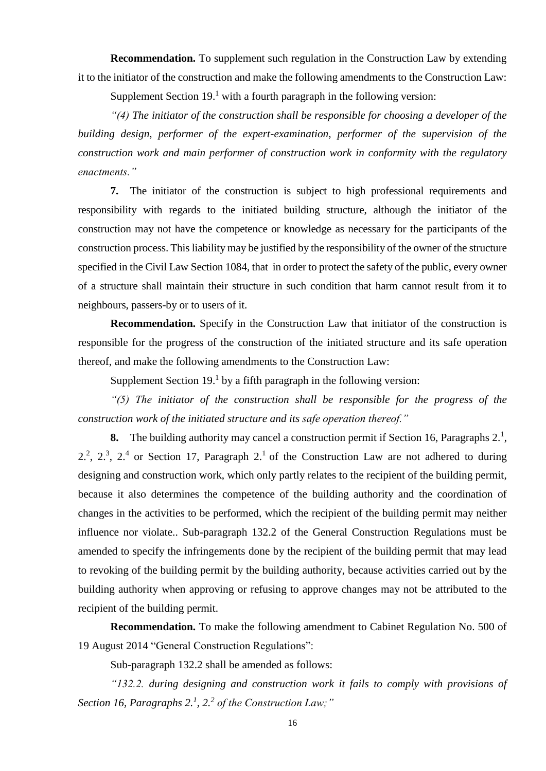**Recommendation.** To supplement such regulation in the Construction Law by extending it to the initiator of the construction and make the following amendments to the Construction Law:

Supplement Section  $19<sup>1</sup>$  with a fourth paragraph in the following version:

*"(4) The initiator of the construction shall be responsible for choosing a developer of the building design, performer of the expert-examination, performer of the supervision of the construction work and main performer of construction work in conformity with the regulatory enactments."*

**7.** The initiator of the construction is subject to high professional requirements and responsibility with regards to the initiated building structure, although the initiator of the construction may not have the competence or knowledge as necessary for the participants of the construction process. This liability may be justified by the responsibility of the owner of the structure specified in the Civil Law Section 1084, that in order to protect the safety of the public, every owner of a structure shall maintain their structure in such condition that harm cannot result from it to neighbours, passers-by or to users of it.

**Recommendation.** Specify in the Construction Law that initiator of the construction is responsible for the progress of the construction of the initiated structure and its safe operation thereof, and make the following amendments to the Construction Law:

Supplement Section  $19<sup>1</sup>$  by a fifth paragraph in the following version:

*"(5) The initiator of the construction shall be responsible for the progress of the construction work of the initiated structure and its safe operation thereof."*

**8.** The building authority may cancel a construction permit if Section 16, Paragraphs  $2<sup>1</sup>$ ,  $2<sup>2</sup>$ ,  $2<sup>3</sup>$ ,  $2<sup>4</sup>$  or Section 17, Paragraph  $2<sup>1</sup>$  of the Construction Law are not adhered to during designing and construction work, which only partly relates to the recipient of the building permit, because it also determines the competence of the building authority and the coordination of changes in the activities to be performed, which the recipient of the building permit may neither influence nor violate.. Sub-paragraph 132.2 of the General Construction Regulations must be amended to specify the infringements done by the recipient of the building permit that may lead to revoking of the building permit by the building authority, because activities carried out by the building authority when approving or refusing to approve changes may not be attributed to the recipient of the building permit.

**Recommendation.** To make the following amendment to Cabinet Regulation No. 500 of 19 August 2014 "General Construction Regulations":

Sub-paragraph 132.2 shall be amended as follows:

*"132.2. during designing and construction work it fails to comply with provisions of Section 16, Paragraphs 2.<sup>1</sup> , 2.<sup>2</sup> of the Construction Law;"*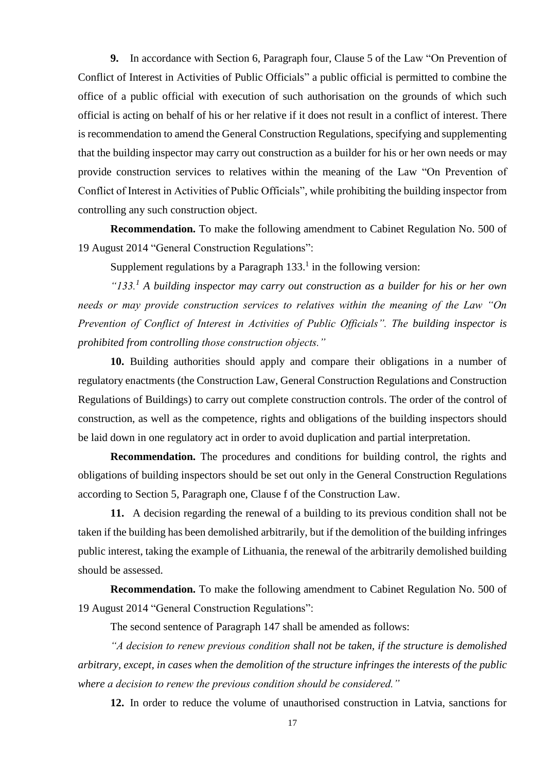**9.** In accordance with Section 6, Paragraph four, Clause 5 of the Law "On Prevention of Conflict of Interest in Activities of Public Officials" a public official is permitted to combine the office of a public official with execution of such authorisation on the grounds of which such official is acting on behalf of his or her relative if it does not result in a conflict of interest. There is recommendation to amend the General Construction Regulations, specifying and supplementing that the building inspector may carry out construction as a builder for his or her own needs or may provide construction services to relatives within the meaning of the Law "On Prevention of Conflict of Interest in Activities of Public Officials", while prohibiting the building inspector from controlling any such construction object.

**Recommendation.** To make the following amendment to Cabinet Regulation No. 500 of 19 August 2014 "General Construction Regulations":

Supplement regulations by a Paragraph  $133<sup>1</sup>$  in the following version:

*"133.<sup>1</sup> A building inspector may carry out construction as a builder for his or her own needs or may provide construction services to relatives within the meaning of the Law "On Prevention of Conflict of Interest in Activities of Public Officials". The building inspector is prohibited from controlling those construction objects."*

**10.** Building authorities should apply and compare their obligations in a number of regulatory enactments (the Construction Law, General Construction Regulations and Construction Regulations of Buildings) to carry out complete construction controls. The order of the control of construction, as well as the competence, rights and obligations of the building inspectors should be laid down in one regulatory act in order to avoid duplication and partial interpretation.

**Recommendation.** The procedures and conditions for building control, the rights and obligations of building inspectors should be set out only in the General Construction Regulations according to Section 5, Paragraph one, Clause f of the Construction Law.

**11.** A decision regarding the renewal of a building to its previous condition shall not be taken if the building has been demolished arbitrarily, but if the demolition of the building infringes public interest, taking the example of Lithuania, the renewal of the arbitrarily demolished building should be assessed.

**Recommendation.** To make the following amendment to Cabinet Regulation No. 500 of 19 August 2014 "General Construction Regulations":

The second sentence of Paragraph 147 shall be amended as follows:

*"A decision to renew previous condition shall not be taken, if the structure is demolished arbitrary, except, in cases when the demolition of the structure infringes the interests of the public where a decision to renew the previous condition should be considered."*

**12.** In order to reduce the volume of unauthorised construction in Latvia, sanctions for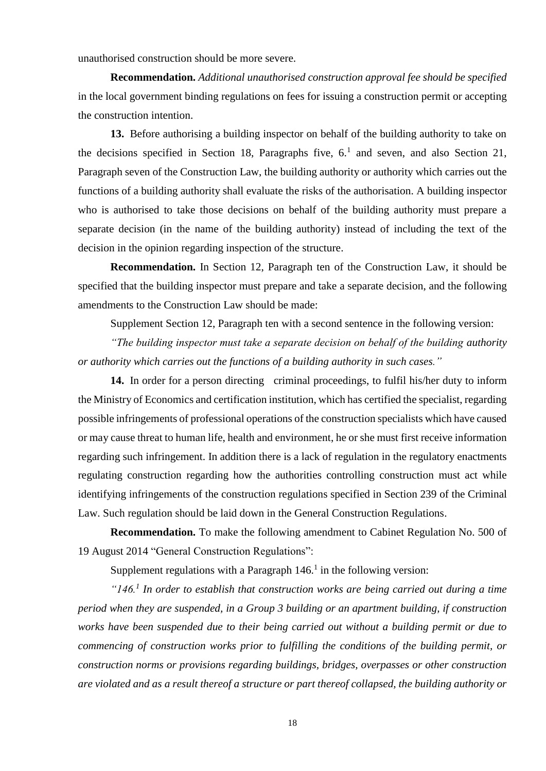unauthorised construction should be more severe.

**Recommendation.** *Additional unauthorised construction approval fee should be specified* in the local government binding regulations on fees for issuing a construction permit or accepting the construction intention.

**13.** Before authorising a building inspector on behalf of the building authority to take on the decisions specified in Section 18, Paragraphs five,  $6<sup>1</sup>$  and seven, and also Section 21, Paragraph seven of the Construction Law, the building authority or authority which carries out the functions of a building authority shall evaluate the risks of the authorisation. A building inspector who is authorised to take those decisions on behalf of the building authority must prepare a separate decision (in the name of the building authority) instead of including the text of the decision in the opinion regarding inspection of the structure.

**Recommendation.** In Section 12, Paragraph ten of the Construction Law, it should be specified that the building inspector must prepare and take a separate decision, and the following amendments to the Construction Law should be made:

Supplement Section 12, Paragraph ten with a second sentence in the following version:

*"The building inspector must take a separate decision on behalf of the building authority or authority which carries out the functions of a building authority in such cases."*

14. In order for a person directing criminal proceedings, to fulfil his/her duty to inform the Ministry of Economics and certification institution, which has certified the specialist, regarding possible infringements of professional operations of the construction specialists which have caused or may cause threat to human life, health and environment, he or she must first receive information regarding such infringement. In addition there is a lack of regulation in the regulatory enactments regulating construction regarding how the authorities controlling construction must act while identifying infringements of the construction regulations specified in Section 239 of the Criminal Law. Such regulation should be laid down in the General Construction Regulations.

**Recommendation.** To make the following amendment to Cabinet Regulation No. 500 of 19 August 2014 "General Construction Regulations":

Supplement regulations with a Paragraph  $146$ <sup>1</sup> in the following version:

*"146.<sup>1</sup> In order to establish that construction works are being carried out during a time period when they are suspended, in a Group 3 building or an apartment building, if construction works have been suspended due to their being carried out without a building permit or due to commencing of construction works prior to fulfilling the conditions of the building permit, or construction norms or provisions regarding buildings, bridges, overpasses or other construction are violated and as a result thereof a structure or part thereof collapsed, the building authority or*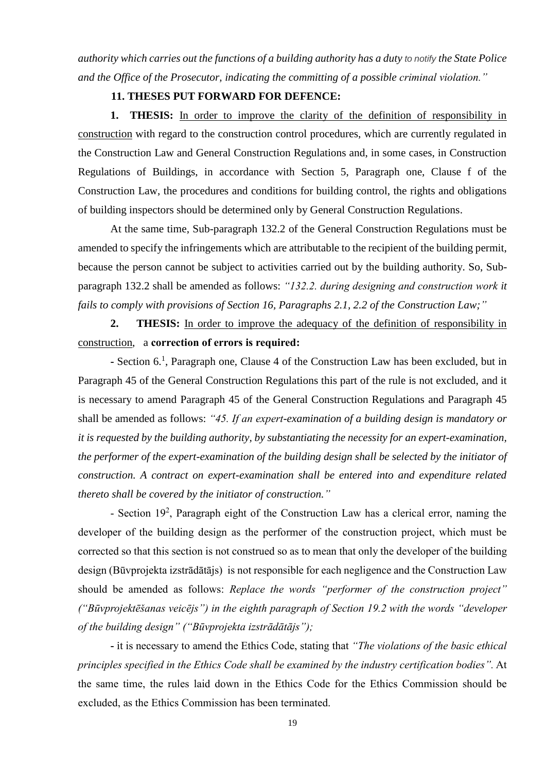*authority which carries out the functions of a building authority has a duty to notify the State Police and the Office of the Prosecutor, indicating the committing of a possible criminal violation."*

### **11. THESES PUT FORWARD FOR DEFENCE:**

**1. THESIS:** In order to improve the clarity of the definition of responsibility in construction with regard to the construction control procedures, which are currently regulated in the Construction Law and General Construction Regulations and, in some cases, in Construction Regulations of Buildings, in accordance with Section 5, Paragraph one, Clause f of the Construction Law, the procedures and conditions for building control, the rights and obligations of building inspectors should be determined only by General Construction Regulations.

At the same time, Sub-paragraph 132.2 of the General Construction Regulations must be amended to specify the infringements which are attributable to the recipient of the building permit, because the person cannot be subject to activities carried out by the building authority. So, Subparagraph 132.2 shall be amended as follows: *"132.2. during designing and construction work it fails to comply with provisions of Section 16, Paragraphs 2.1, 2.2 of the Construction Law;"*

**2. THESIS:** In order to improve the adequacy of the definition of responsibility in construction, a **correction of errors is required:**

- Section 6.<sup>1</sup>, Paragraph one, Clause 4 of the Construction Law has been excluded, but in Paragraph 45 of the General Construction Regulations this part of the rule is not excluded, and it is necessary to amend Paragraph 45 of the General Construction Regulations and Paragraph 45 shall be amended as follows: *"45. If an expert-examination of a building design is mandatory or it is requested by the building authority, by substantiating the necessity for an expert-examination, the performer of the expert-examination of the building design shall be selected by the initiator of construction. A contract on expert-examination shall be entered into and expenditure related thereto shall be covered by the initiator of construction."*

- Section 19<sup>2</sup>, Paragraph eight of the Construction Law has a clerical error, naming the developer of the building design as the performer of the construction project, which must be corrected so that this section is not construed so as to mean that only the developer of the building design (Būvprojekta izstrādātājs) is not responsible for each negligence and the Construction Law should be amended as follows: *Replace the words "performer of the construction project" ("Būvprojektēšanas veicējs") in the eighth paragraph of Section 19.2 with the words "developer of the building design" ("Būvprojekta izstrādātājs");*

**-** it is necessary to amend the Ethics Code, stating that *"The violations of the basic ethical principles specified in the Ethics Code shall be examined by the industry certification bodies".* At the same time, the rules laid down in the Ethics Code for the Ethics Commission should be excluded, as the Ethics Commission has been terminated.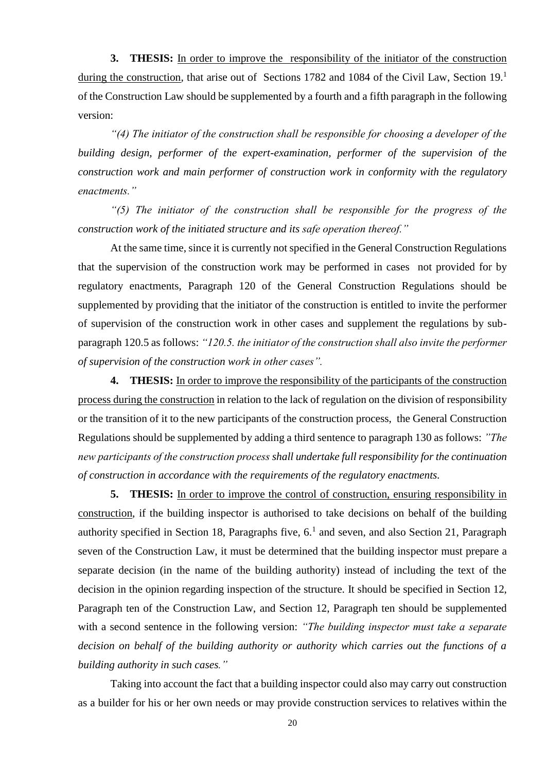**3. THESIS:** In order to improve the responsibility of the initiator of the construction during the construction, that arise out of Sections 1782 and 1084 of the Civil Law, Section 19.<sup>1</sup> of the Construction Law should be supplemented by a fourth and a fifth paragraph in the following version:

*"(4) The initiator of the construction shall be responsible for choosing a developer of the building design, performer of the expert-examination, performer of the supervision of the construction work and main performer of construction work in conformity with the regulatory enactments."*

*"(5) The initiator of the construction shall be responsible for the progress of the construction work of the initiated structure and its safe operation thereof."*

At the same time, since it is currently not specified in the General Construction Regulations that the supervision of the construction work may be performed in cases not provided for by regulatory enactments, Paragraph 120 of the General Construction Regulations should be supplemented by providing that the initiator of the construction is entitled to invite the performer of supervision of the construction work in other cases and supplement the regulations by subparagraph 120.5 as follows: *"120.5. the initiator of the construction shall also invite the performer of supervision of the construction work in other cases".*

**4. THESIS:** In order to improve the responsibility of the participants of the construction process during the construction in relation to the lack of regulation on the division of responsibility or the transition of it to the new participants of the construction process, the General Construction Regulations should be supplemented by adding a third sentence to paragraph 130 as follows: *"The new participants of the construction process shall undertake full responsibility for the continuation of construction in accordance with the requirements of the regulatory enactments.*

**5. THESIS:** In order to improve the control of construction, ensuring responsibility in construction, if the building inspector is authorised to take decisions on behalf of the building authority specified in Section 18, Paragraphs five,  $6<sup>1</sup>$  and seven, and also Section 21, Paragraph seven of the Construction Law, it must be determined that the building inspector must prepare a separate decision (in the name of the building authority) instead of including the text of the decision in the opinion regarding inspection of the structure. It should be specified in Section 12, Paragraph ten of the Construction Law, and Section 12, Paragraph ten should be supplemented with a second sentence in the following version: *"The building inspector must take a separate decision on behalf of the building authority or authority which carries out the functions of a building authority in such cases."*

Taking into account the fact that a building inspector could also may carry out construction as a builder for his or her own needs or may provide construction services to relatives within the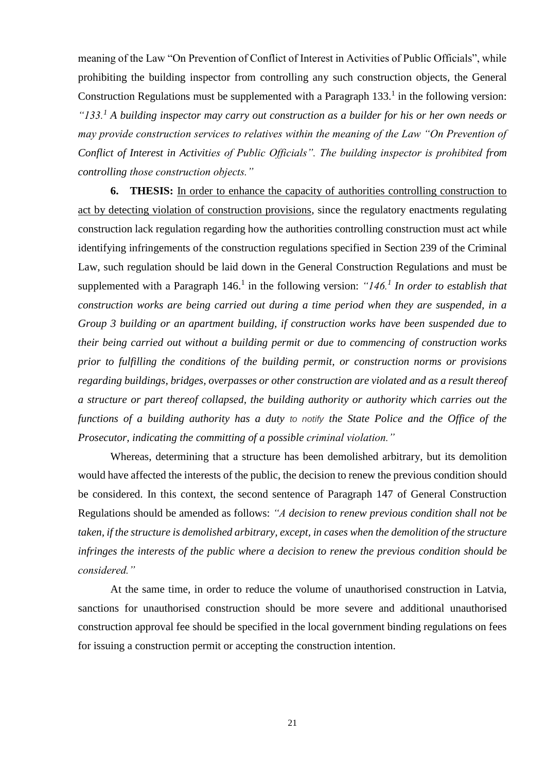meaning of the Law "On Prevention of Conflict of Interest in Activities of Public Officials", while prohibiting the building inspector from controlling any such construction objects, the General Construction Regulations must be supplemented with a Paragraph  $133<sup>1</sup>$  in the following version: *"133.<sup>1</sup> A building inspector may carry out construction as a builder for his or her own needs or may provide construction services to relatives within the meaning of the Law "On Prevention of Conflict of Interest in Activities of Public Officials". The building inspector is prohibited from controlling those construction objects."*

**6. THESIS:** In order to enhance the capacity of authorities controlling construction to act by detecting violation of construction provisions, since the regulatory enactments regulating construction lack regulation regarding how the authorities controlling construction must act while identifying infringements of the construction regulations specified in Section 239 of the Criminal Law, such regulation should be laid down in the General Construction Regulations and must be supplemented with a Paragraph  $146<sup>1</sup>$  in the following version: " $146<sup>1</sup>$  In order to establish that *construction works are being carried out during a time period when they are suspended, in a Group 3 building or an apartment building, if construction works have been suspended due to their being carried out without a building permit or due to commencing of construction works prior to fulfilling the conditions of the building permit, or construction norms or provisions regarding buildings, bridges, overpasses or other construction are violated and as a result thereof a structure or part thereof collapsed, the building authority or authority which carries out the functions of a building authority has a duty to notify the State Police and the Office of the Prosecutor, indicating the committing of a possible criminal violation."*

Whereas, determining that a structure has been demolished arbitrary, but its demolition would have affected the interests of the public, the decision to renew the previous condition should be considered. In this context, the second sentence of Paragraph 147 of General Construction Regulations should be amended as follows: *"A decision to renew previous condition shall not be taken, if the structure is demolished arbitrary, except, in cases when the demolition of the structure infringes the interests of the public where a decision to renew the previous condition should be considered."*

At the same time, in order to reduce the volume of unauthorised construction in Latvia, sanctions for unauthorised construction should be more severe and additional unauthorised construction approval fee should be specified in the local government binding regulations on fees for issuing a construction permit or accepting the construction intention.